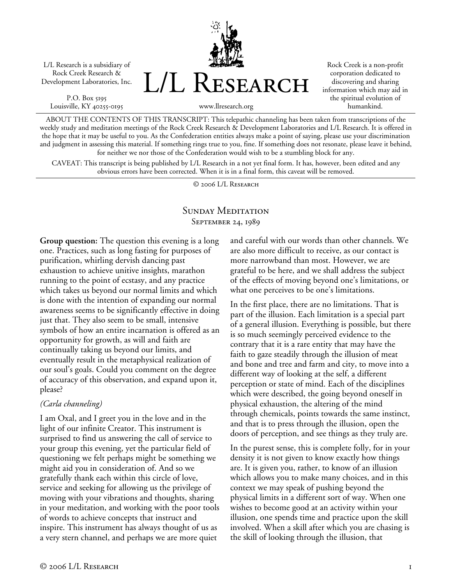L/L Research is a subsidiary of Rock Creek Research & Development Laboratories, Inc.

P.O. Box 5195 Louisville, KY 40255-0195



Rock Creek is a non-profit corporation dedicated to discovering and sharing information which may aid in the spiritual evolution of humankind.

www.llresearch.org

ABOUT THE CONTENTS OF THIS TRANSCRIPT: This telepathic channeling has been taken from transcriptions of the weekly study and meditation meetings of the Rock Creek Research & Development Laboratories and L/L Research. It is offered in the hope that it may be useful to you. As the Confederation entities always make a point of saying, please use your discrimination and judgment in assessing this material. If something rings true to you, fine. If something does not resonate, please leave it behind, for neither we nor those of the Confederation would wish to be a stumbling block for any.

CAVEAT: This transcript is being published by L/L Research in a not yet final form. It has, however, been edited and any obvious errors have been corrected. When it is in a final form, this caveat will be removed.

© 2006 L/L Research

## SUNDAY MEDITATION SEPTEMBER 24, 1989

**Group question:** The question this evening is a long one. Practices, such as long fasting for purposes of purification, whirling dervish dancing past exhaustion to achieve unitive insights, marathon running to the point of ecstasy, and any practice which takes us beyond our normal limits and which is done with the intention of expanding our normal awareness seems to be significantly effective in doing just that. They also seem to be small, intensive symbols of how an entire incarnation is offered as an opportunity for growth, as will and faith are continually taking us beyond our limits, and eventually result in the metaphysical realization of our soul's goals. Could you comment on the degree of accuracy of this observation, and expand upon it, please?

#### *(Carla channeling)*

I am Oxal, and I greet you in the love and in the light of our infinite Creator. This instrument is surprised to find us answering the call of service to your group this evening, yet the particular field of questioning we felt perhaps might be something we might aid you in consideration of. And so we gratefully thank each within this circle of love, service and seeking for allowing us the privilege of moving with your vibrations and thoughts, sharing in your meditation, and working with the poor tools of words to achieve concepts that instruct and inspire. This instrument has always thought of us as a very stern channel, and perhaps we are more quiet

and careful with our words than other channels. We are also more difficult to receive, as our contact is more narrowband than most. However, we are grateful to be here, and we shall address the subject of the effects of moving beyond one's limitations, or what one perceives to be one's limitations.

In the first place, there are no limitations. That is part of the illusion. Each limitation is a special part of a general illusion. Everything is possible, but there is so much seemingly perceived evidence to the contrary that it is a rare entity that may have the faith to gaze steadily through the illusion of meat and bone and tree and farm and city, to move into a different way of looking at the self, a different perception or state of mind. Each of the disciplines which were described, the going beyond oneself in physical exhaustion, the altering of the mind through chemicals, points towards the same instinct, and that is to press through the illusion, open the doors of perception, and see things as they truly are.

In the purest sense, this is complete folly, for in your density it is not given to know exactly how things are. It is given you, rather, to know of an illusion which allows you to make many choices, and in this context we may speak of pushing beyond the physical limits in a different sort of way. When one wishes to become good at an activity within your illusion, one spends time and practice upon the skill involved. When a skill after which you are chasing is the skill of looking through the illusion, that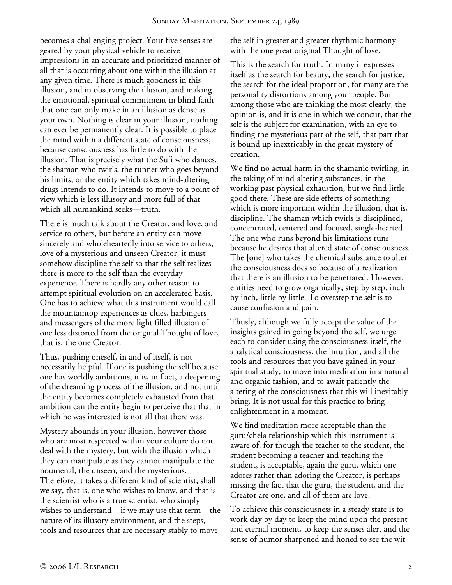becomes a challenging project. Your five senses are geared by your physical vehicle to receive impressions in an accurate and prioritized manner of all that is occurring about one within the illusion at any given time. There is much goodness in this illusion, and in observing the illusion, and making the emotional, spiritual commitment in blind faith that one can only make in an illusion as dense as your own. Nothing is clear in your illusion, nothing can ever be permanently clear. It is possible to place the mind within a different state of consciousness, because consciousness has little to do with the illusion. That is precisely what the Sufi who dances, the shaman who twirls, the runner who goes beyond his limits, or the entity which takes mind-altering drugs intends to do. It intends to move to a point of view which is less illusory and more full of that which all humankind seeks—truth.

There is much talk about the Creator, and love, and service to others, but before an entity can move sincerely and wholeheartedly into service to others, love of a mysterious and unseen Creator, it must somehow discipline the self so that the self realizes there is more to the self than the everyday experience. There is hardly any other reason to attempt spiritual evolution on an accelerated basis. One has to achieve what this instrument would call the mountaintop experiences as clues, harbingers and messengers of the more light filled illusion of one less distorted from the original Thought of love, that is, the one Creator.

Thus, pushing oneself, in and of itself, is not necessarily helpful. If one is pushing the self because one has worldly ambitions, it is, in f act, a deepening of the dreaming process of the illusion, and not until the entity becomes completely exhausted from that ambition can the entity begin to perceive that that in which he was interested is not all that there was.

Mystery abounds in your illusion, however those who are most respected within your culture do not deal with the mystery, but with the illusion which they can manipulate as they cannot manipulate the noumenal, the unseen, and the mysterious. Therefore, it takes a different kind of scientist, shall we say, that is, one who wishes to know, and that is the scientist who is a true scientist, who simply wishes to understand—if we may use that term—the nature of its illusory environment, and the steps, tools and resources that are necessary stably to move

the self in greater and greater rhythmic harmony with the one great original Thought of love.

This is the search for truth. In many it expresses itself as the search for beauty, the search for justice, the search for the ideal proportion, for many are the personality distortions among your people. But among those who are thinking the most clearly, the opinion is, and it is one in which we concur, that the self is the subject for examination, with an eye to finding the mysterious part of the self, that part that is bound up inextricably in the great mystery of creation.

We find no actual harm in the shamanic twirling, in the taking of mind-altering substances, in the working past physical exhaustion, but we find little good there. These are side effects of something which is more important within the illusion, that is, discipline. The shaman which twirls is disciplined, concentrated, centered and focused, single-hearted. The one who runs beyond his limitations runs because he desires that altered state of consciousness. The [one] who takes the chemical substance to alter the consciousness does so because of a realization that there is an illusion to be penetrated. However, entities need to grow organically, step by step, inch by inch, little by little. To overstep the self is to cause confusion and pain.

Thusly, although we fully accept the value of the insights gained in going beyond the self, we urge each to consider using the consciousness itself, the analytical consciousness, the intuition, and all the tools and resources that you have gained in your spiritual study, to move into meditation in a natural and organic fashion, and to await patiently the altering of the consciousness that this will inevitably bring. It is not usual for this practice to bring enlightenment in a moment.

We find meditation more acceptable than the guru/chela relationship which this instrument is aware of, for though the teacher to the student, the student becoming a teacher and teaching the student, is acceptable, again the guru, which one adores rather than adoring the Creator, is perhaps missing the fact that the guru, the student, and the Creator are one, and all of them are love.

To achieve this consciousness in a steady state is to work day by day to keep the mind upon the present and eternal moment, to keep the senses alert and the sense of humor sharpened and honed to see the wit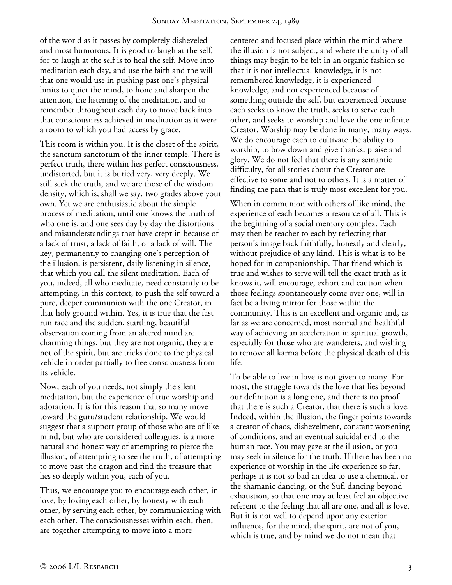of the world as it passes by completely disheveled and most humorous. It is good to laugh at the self, for to laugh at the self is to heal the self. Move into meditation each day, and use the faith and the will that one would use in pushing past one's physical limits to quiet the mind, to hone and sharpen the attention, the listening of the meditation, and to remember throughout each day to move back into that consciousness achieved in meditation as it were a room to which you had access by grace.

This room is within you. It is the closet of the spirit, the sanctum sanctorum of the inner temple. There is perfect truth, there within lies perfect consciousness, undistorted, but it is buried very, very deeply. We still seek the truth, and we are those of the wisdom density, which is, shall we say, two grades above your own. Yet we are enthusiastic about the simple process of meditation, until one knows the truth of who one is, and one sees day by day the distortions and misunderstandings that have crept in because of a lack of trust, a lack of faith, or a lack of will. The key, permanently to changing one's perception of the illusion, is persistent, daily listening in silence, that which you call the silent meditation. Each of you, indeed, all who meditate, need constantly to be attempting, in this context, to push the self toward a pure, deeper communion with the one Creator, in that holy ground within. Yes, it is true that the fast run race and the sudden, startling, beautiful observation coming from an altered mind are charming things, but they are not organic, they are not of the spirit, but are tricks done to the physical vehicle in order partially to free consciousness from its vehicle.

Now, each of you needs, not simply the silent meditation, but the experience of true worship and adoration. It is for this reason that so many move toward the guru/student relationship. We would suggest that a support group of those who are of like mind, but who are considered colleagues, is a more natural and honest way of attempting to pierce the illusion, of attempting to see the truth, of attempting to move past the dragon and find the treasure that lies so deeply within you, each of you.

Thus, we encourage you to encourage each other, in love, by loving each other, by honesty with each other, by serving each other, by communicating with each other. The consciousnesses within each, then, are together attempting to move into a more

centered and focused place within the mind where the illusion is not subject, and where the unity of all things may begin to be felt in an organic fashion so that it is not intellectual knowledge, it is not remembered knowledge, it is experienced knowledge, and not experienced because of something outside the self, but experienced because each seeks to know the truth, seeks to serve each other, and seeks to worship and love the one infinite Creator. Worship may be done in many, many ways. We do encourage each to cultivate the ability to worship, to bow down and give thanks, praise and glory. We do not feel that there is any semantic difficulty, for all stories about the Creator are effective to some and not to others. It is a matter of finding the path that is truly most excellent for you.

When in communion with others of like mind, the experience of each becomes a resource of all. This is the beginning of a social memory complex. Each may then be teacher to each by reflecting that person's image back faithfully, honestly and clearly, without prejudice of any kind. This is what is to be hoped for in companionship. That friend which is true and wishes to serve will tell the exact truth as it knows it, will encourage, exhort and caution when those feelings spontaneously come over one, will in fact be a living mirror for those within the community. This is an excellent and organic and, as far as we are concerned, most normal and healthful way of achieving an acceleration in spiritual growth, especially for those who are wanderers, and wishing to remove all karma before the physical death of this life.

To be able to live in love is not given to many. For most, the struggle towards the love that lies beyond our definition is a long one, and there is no proof that there is such a Creator, that there is such a love. Indeed, within the illusion, the finger points towards a creator of chaos, dishevelment, constant worsening of conditions, and an eventual suicidal end to the human race. You may gaze at the illusion, or you may seek in silence for the truth. If there has been no experience of worship in the life experience so far, perhaps it is not so bad an idea to use a chemical, or the shamanic dancing, or the Sufi dancing beyond exhaustion, so that one may at least feel an objective referent to the feeling that all are one, and all is love. But it is not well to depend upon any exterior influence, for the mind, the spirit, are not of you, which is true, and by mind we do not mean that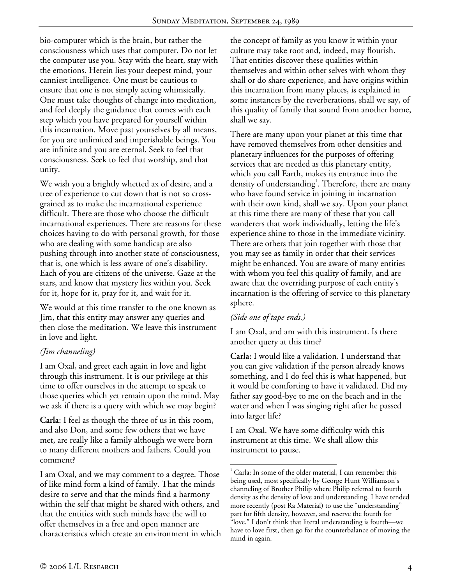bio-computer which is the brain, but rather the consciousness which uses that computer. Do not let the computer use you. Stay with the heart, stay with the emotions. Herein lies your deepest mind, your canniest intelligence. One must be cautious to ensure that one is not simply acting whimsically. One must take thoughts of change into meditation, and feel deeply the guidance that comes with each step which you have prepared for yourself within this incarnation. Move past yourselves by all means, for you are unlimited and imperishable beings. You are infinite and you are eternal. Seek to feel that consciousness. Seek to feel that worship, and that unity.

We wish you a brightly whetted ax of desire, and a tree of experience to cut down that is not so crossgrained as to make the incarnational experience difficult. There are those who choose the difficult incarnational experiences. There are reasons for these choices having to do with personal growth, for those who are dealing with some handicap are also pushing through into another state of consciousness, that is, one which is less aware of one's disability. Each of you are citizens of the universe. Gaze at the stars, and know that mystery lies within you. Seek for it, hope for it, pray for it, and wait for it.

We would at this time transfer to the one known as Jim, that this entity may answer any queries and then close the meditation. We leave this instrument in love and light.

# *(Jim channeling)*

I am Oxal, and greet each again in love and light through this instrument. It is our privilege at this time to offer ourselves in the attempt to speak to those queries which yet remain upon the mind. May we ask if there is a query with which we may begin?

**Carla:** I feel as though the three of us in this room, and also Don, and some few others that we have met, are really like a family although we were born to many different mothers and fathers. Could you comment?

I am Oxal, and we may comment to a degree. Those of like mind form a kind of family. That the minds desire to serve and that the minds find a harmony within the self that might be shared with others, and that the entities with such minds have the will to offer themselves in a free and open manner are characteristics which create an environment in which the concept of family as you know it within your culture may take root and, indeed, may flourish. That entities discover these qualities within themselves and within other selves with whom they shall or do share experience, and have origins within this incarnation from many places, is explained in some instances by the reverberations, shall we say, of this quality of family that sound from another home, shall we say.

There are many upon your planet at this time that have removed themselves from other densities and planetary influences for the purposes of offering services that are needed as this planetary entity, which you call Earth, makes its entrance into the density of understanding<sup>1</sup>. Therefore, there are many who have found service in joining in incarnation with their own kind, shall we say. Upon your planet at this time there are many of these that you call wanderers that work individually, letting the life's experience shine to those in the immediate vicinity. There are others that join together with those that you may see as family in order that their services might be enhanced. You are aware of many entities with whom you feel this quality of family, and are aware that the overriding purpose of each entity's incarnation is the offering of service to this planetary sphere.

### *(Side one of tape ends.)*

I am Oxal, and am with this instrument. Is there another query at this time?

**Carla:** I would like a validation. I understand that you can give validation if the person already knows something, and I do feel this is what happened, but it would be comforting to have it validated. Did my father say good-bye to me on the beach and in the water and when I was singing right after he passed into larger life?

I am Oxal. We have some difficulty with this instrument at this time. We shall allow this instrument to pause.

 1 Carla: In some of the older material, I can remember this being used, most specifically by George Hunt Williamson's channeling of Brother Philip where Philip referred to fourth density as the density of love and understanding. I have tended more recently (post Ra Material) to use the "understanding" part for fifth density, however, and reserve the fourth for "love." I don't think that literal understanding is fourth—we have to love first, then go for the counterbalance of moving the mind in again.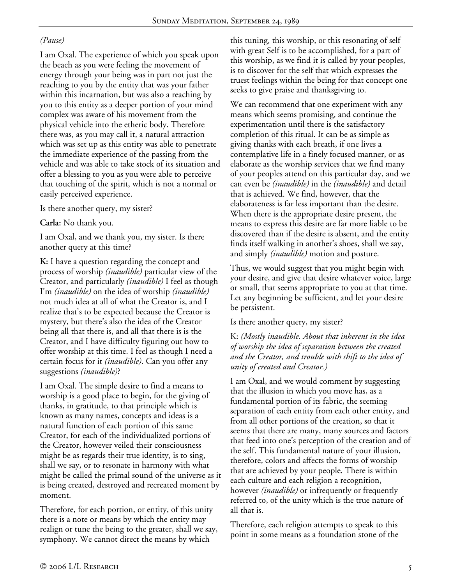### *(Pause)*

I am Oxal. The experience of which you speak upon the beach as you were feeling the movement of energy through your being was in part not just the reaching to you by the entity that was your father within this incarnation, but was also a reaching by you to this entity as a deeper portion of your mind complex was aware of his movement from the physical vehicle into the etheric body. Therefore there was, as you may call it, a natural attraction which was set up as this entity was able to penetrate the immediate experience of the passing from the vehicle and was able to take stock of its situation and offer a blessing to you as you were able to perceive that touching of the spirit, which is not a normal or easily perceived experience.

Is there another query, my sister?

**Carla:** No thank you.

I am Oxal, and we thank you, my sister. Is there another query at this time?

**K:** I have a question regarding the concept and process of worship *(inaudible)* particular view of the Creator, and particularly *(inaudible)* I feel as though I'm *(inaudible)* on the idea of worship *(inaudible)* not much idea at all of what the Creator is, and I realize that's to be expected because the Creator is mystery, but there's also the idea of the Creator being all that there is, and all that there is is the Creator, and I have difficulty figuring out how to offer worship at this time. I feel as though I need a certain focus for it *(inaudible)*. Can you offer any suggestions *(inaudible)*?

I am Oxal. The simple desire to find a means to worship is a good place to begin, for the giving of thanks, in gratitude, to that principle which is known as many names, concepts and ideas is a natural function of each portion of this same Creator, for each of the individualized portions of the Creator, however veiled their consciousness might be as regards their true identity, is to sing, shall we say, or to resonate in harmony with what might be called the primal sound of the universe as it is being created, destroyed and recreated moment by moment.

Therefore, for each portion, or entity, of this unity there is a note or means by which the entity may realign or tune the being to the greater, shall we say, symphony. We cannot direct the means by which

this tuning, this worship, or this resonating of self with great Self is to be accomplished, for a part of this worship, as we find it is called by your peoples, is to discover for the self that which expresses the truest feelings within the being for that concept one seeks to give praise and thanksgiving to.

We can recommend that one experiment with any means which seems promising, and continue the experimentation until there is the satisfactory completion of this ritual. It can be as simple as giving thanks with each breath, if one lives a contemplative life in a finely focused manner, or as elaborate as the worship services that we find many of your peoples attend on this particular day, and we can even be *(inaudible)* in the *(inaudible)* and detail that is achieved. We find, however, that the elaborateness is far less important than the desire. When there is the appropriate desire present, the means to express this desire are far more liable to be discovered than if the desire is absent, and the entity finds itself walking in another's shoes, shall we say, and simply *(inaudible)* motion and posture.

Thus, we would suggest that you might begin with your desire, and give that desire whatever voice, large or small, that seems appropriate to you at that time. Let any beginning be sufficient, and let your desire be persistent.

Is there another query, my sister?

K: *(Mostly inaudible. About that inherent in the idea of worship the idea of separation between the created and the Creator, and trouble with shift to the idea of unity of created and Creator.)*

I am Oxal, and we would comment by suggesting that the illusion in which you move has, as a fundamental portion of its fabric, the seeming separation of each entity from each other entity, and from all other portions of the creation, so that it seems that there are many, many sources and factors that feed into one's perception of the creation and of the self. This fundamental nature of your illusion, therefore, colors and affects the forms of worship that are achieved by your people. There is within each culture and each religion a recognition, however *(inaudible)* or infrequently or frequently referred to, of the unity which is the true nature of all that is.

Therefore, each religion attempts to speak to this point in some means as a foundation stone of the